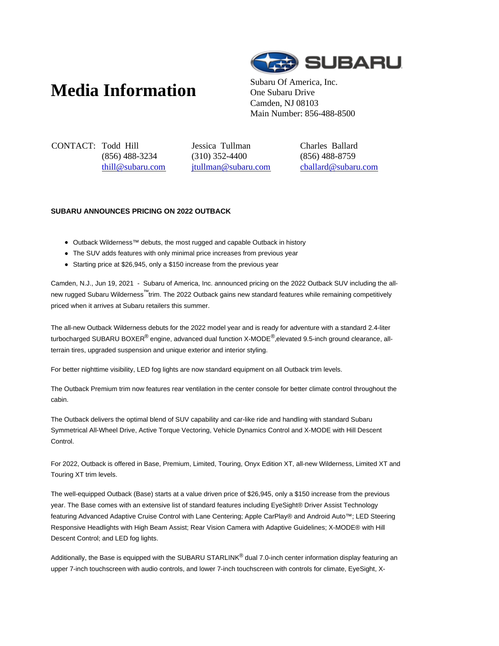## **Media Information** Subaru Of America, Inc.



One Subaru Drive Camden, NJ 08103 Main Number: 856-488-8500

CONTACT: Todd Hill (856) 488-3234 thill@subaru.com Jessica Tullman (310) 352-4400 jtullman@subaru.com Charles Ballard (856) 488-8759 cballard@subaru.com

## **SUBARU ANNOUNCES PRICING ON 2022 OUTBACK**

- Outback Wilderness™ debuts, the most rugged and capable Outback in history
- The SUV adds features with only minimal price increases from previous year
- Starting price at \$26,945, only a \$150 increase from the previous year

Camden, N.J., Jun 19, 2021 - Subaru of America, Inc. announced pricing on the 2022 Outback SUV including the allnew rugged Subaru Wilderness™ trim. The 2022 Outback gains new standard features while remaining competitively priced when it arrives at Subaru retailers this summer.

The all-new Outback Wilderness debuts for the 2022 model year and is ready for adventure with a standard 2.4-liter turbocharged SUBARU BOXER<sup>®</sup> engine, advanced dual function X-MODE<sup>®</sup>, elevated 9.5-inch ground clearance, allterrain tires, upgraded suspension and unique exterior and interior styling.

For better nighttime visibility, LED fog lights are now standard equipment on all Outback trim levels.

The Outback Premium trim now features rear ventilation in the center console for better climate control throughout the cabin.

The Outback delivers the optimal blend of SUV capability and car-like ride and handling with standard Subaru Symmetrical All-Wheel Drive, Active Torque Vectoring, Vehicle Dynamics Control and X-MODE with Hill Descent Control.

For 2022, Outback is offered in Base, Premium, Limited, Touring, Onyx Edition XT, all-new Wilderness, Limited XT and Touring XT trim levels.

The well-equipped Outback (Base) starts at a value driven price of \$26,945, only a \$150 increase from the previous year. The Base comes with an extensive list of standard features including EyeSight® Driver Assist Technology featuring Advanced Adaptive Cruise Control with Lane Centering; Apple CarPlay® and Android Auto™; LED Steering Responsive Headlights with High Beam Assist; Rear Vision Camera with Adaptive Guidelines; X-MODE® with Hill Descent Control; and LED fog lights.

Additionally, the Base is equipped with the SUBARU STARLINK<sup>®</sup> dual 7.0-inch center information display featuring an upper 7-inch touchscreen with audio controls, and lower 7-inch touchscreen with controls for climate, EyeSight, X-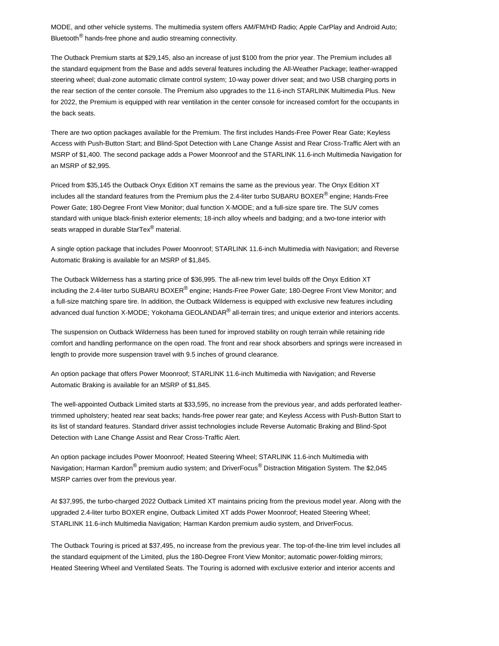MODE, and other vehicle systems. The multimedia system offers AM/FM/HD Radio; Apple CarPlay and Android Auto; Bluetooth<sup>®</sup> hands-free phone and audio streaming connectivity.

The Outback Premium starts at \$29,145, also an increase of just \$100 from the prior year. The Premium includes all the standard equipment from the Base and adds several features including the All-Weather Package; leather-wrapped steering wheel; dual-zone automatic climate control system; 10-way power driver seat; and two USB charging ports in the rear section of the center console. The Premium also upgrades to the 11.6-inch STARLINK Multimedia Plus. New for 2022, the Premium is equipped with rear ventilation in the center console for increased comfort for the occupants in the back seats.

There are two option packages available for the Premium. The first includes Hands-Free Power Rear Gate; Keyless Access with Push-Button Start; and Blind-Spot Detection with Lane Change Assist and Rear Cross-Traffic Alert with an MSRP of \$1,400. The second package adds a Power Moonroof and the STARLINK 11.6-inch Multimedia Navigation for an MSRP of \$2,995.

Priced from \$35,145 the Outback Onyx Edition XT remains the same as the previous year. The Onyx Edition XT includes all the standard features from the Premium plus the 2.4-liter turbo SUBARU BOXER® engine; Hands-Free Power Gate; 180-Degree Front View Monitor; dual function X-MODE; and a full-size spare tire. The SUV comes standard with unique black-finish exterior elements; 18-inch alloy wheels and badging; and a two-tone interior with seats wrapped in durable StarTex<sup>®</sup> material.

A single option package that includes Power Moonroof; STARLINK 11.6-inch Multimedia with Navigation; and Reverse Automatic Braking is available for an MSRP of \$1,845.

The Outback Wilderness has a starting price of \$36,995. The all-new trim level builds off the Onyx Edition XT including the 2.4-liter turbo SUBARU BOXER® engine; Hands-Free Power Gate; 180-Degree Front View Monitor; and a full-size matching spare tire. In addition, the Outback Wilderness is equipped with exclusive new features including advanced dual function X-MODE; Yokohama GEOLANDAR<sup>®</sup> all-terrain tires; and unique exterior and interiors accents.

The suspension on Outback Wilderness has been tuned for improved stability on rough terrain while retaining ride comfort and handling performance on the open road. The front and rear shock absorbers and springs were increased in length to provide more suspension travel with 9.5 inches of ground clearance.

An option package that offers Power Moonroof; STARLINK 11.6-inch Multimedia with Navigation; and Reverse Automatic Braking is available for an MSRP of \$1,845.

The well-appointed Outback Limited starts at \$33,595, no increase from the previous year, and adds perforated leathertrimmed upholstery; heated rear seat backs; hands-free power rear gate; and Keyless Access with Push-Button Start to its list of standard features. Standard driver assist technologies include Reverse Automatic Braking and Blind-Spot Detection with Lane Change Assist and Rear Cross-Traffic Alert.

An option package includes Power Moonroof; Heated Steering Wheel; STARLINK 11.6-inch Multimedia with Navigation; Harman Kardon<sup>®</sup> premium audio system; and DriverFocus<sup>®</sup> Distraction Mitigation System. The \$2,045 MSRP carries over from the previous year.

At \$37,995, the turbo-charged 2022 Outback Limited XT maintains pricing from the previous model year. Along with the upgraded 2.4-liter turbo BOXER engine, Outback Limited XT adds Power Moonroof; Heated Steering Wheel; STARLINK 11.6-inch Multimedia Navigation; Harman Kardon premium audio system, and DriverFocus.

The Outback Touring is priced at \$37,495, no increase from the previous year. The top-of-the-line trim level includes all the standard equipment of the Limited, plus the 180-Degree Front View Monitor; automatic power-folding mirrors; Heated Steering Wheel and Ventilated Seats. The Touring is adorned with exclusive exterior and interior accents and